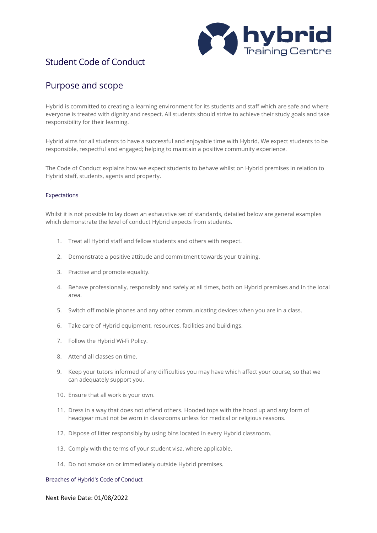

# Student Code of Conduct

## Purpose and scope

Hybrid is committed to creating a learning environment for its students and staff which are safe and where everyone is treated with dignity and respect. All students should strive to achieve their study goals and take responsibility for their learning.

Hybrid aims for all students to have a successful and enjoyable time with Hybrid. We expect students to be responsible, respectful and engaged; helping to maintain a positive community experience.

The Code of Conduct explains how we expect students to behave whilst on Hybrid premises in relation to Hybrid staff, students, agents and property.

### Expectations

Whilst it is not possible to lay down an exhaustive set of standards, detailed below are general examples which demonstrate the level of conduct Hybrid expects from students.

- 1. Treat all Hybrid staff and fellow students and others with respect.
- 2. Demonstrate a positive attitude and commitment towards your training.
- 3. Practise and promote equality.
- 4. Behave professionally, responsibly and safely at all times, both on Hybrid premises and in the local area.
- 5. Switch off mobile phones and any other communicating devices when you are in a class.
- 6. Take care of Hybrid equipment, resources, facilities and buildings.
- 7. Follow the Hybrid Wi-Fi Policy.
- 8. Attend all classes on time.
- 9. Keep your tutors informed of any difficulties you may have which affect your course, so that we can adequately support you.
- 10. Ensure that all work is your own.
- 11. Dress in a way that does not offend others. Hooded tops with the hood up and any form of headgear must not be worn in classrooms unless for medical or religious reasons.
- 12. Dispose of litter responsibly by using bins located in every Hybrid classroom.
- 13. Comply with the terms of your student visa, where applicable.
- 14. Do not smoke on or immediately outside Hybrid premises.

#### Breaches of Hybrid's Code of Conduct